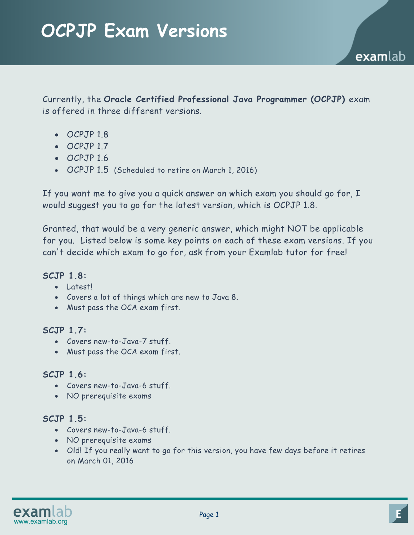examlab

Currently, the **Oracle Certified Professional Java Programmer (OCPJP)** exam is offered in three different versions.

- OCPJP 1.8
- OCPJP 1.7
- OCPJP 1.6
- OCPJP 1.5 (Scheduled to retire on March 1, 2016)

If you want me to give you a quick answer on which exam you should go for, I would suggest you to go for the latest version, which is OCPJP 1.8.

Granted, that would be a very generic answer, which might NOT be applicable for you. Listed below is some key points on each of these exam versions. If you can't decide which exam to go for, ask from your Examlab tutor for free!

### **SCJP 1.8:**

- Latest!
- Covers a lot of things which are new to Java 8.
- Must pass the OCA exam first.

### **SCJP 1.7:**

- Covers new-to-Java-7 stuff.
- Must pass the OCA exam first.

#### **SCJP 1.6:**

- Covers new-to-Java-6 stuff.
- NO prerequisite exams

### **SCJP 1.5:**

- Covers new-to-Java-6 stuff.
- NO prerequisite exams
- Old! If you really want to go for this version, you have few days before it retires on March 01, 2016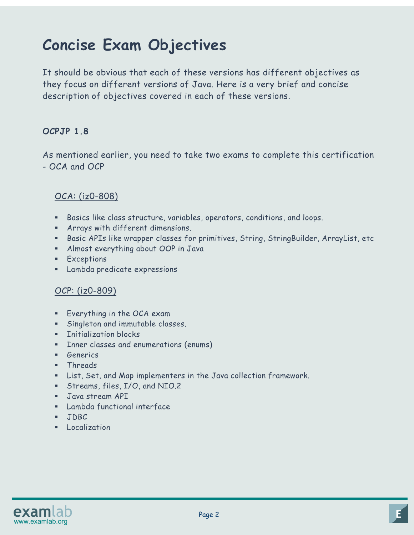# **Concise Exam Objectives**

It should be obvious that each of these versions has different objectives as they focus on different versions of Java. Here is a very brief and concise description of objectives covered in each of these versions.

### **OCPJP 1.8**

As mentioned earlier, you need to take two exams to complete this certification - OCA and OCP

### OCA: (iz0-808)

- Basics like class structure, variables, operators, conditions, and loops.
- Arrays with different dimensions.
- Basic APIs like wrapper classes for primitives, String, StringBuilder, ArrayList, etc
- Almost everything about OOP in Java
- **Exceptions**
- Lambda predicate expressions

### OCP: (iz0-809)

- **Everything in the OCA exam**
- Singleton and immutable classes.
- **EXECUTE: 1** Initialization blocks
- **Inner classes and enumerations (enums)**
- **Generics**
- **F** Threads
- List, Set, and Map implementers in the Java collection framework.
- Streams, files, I/O, and NIO.2
- Java stream API
- Lambda functional interface
- JDBC
- **E** Localization

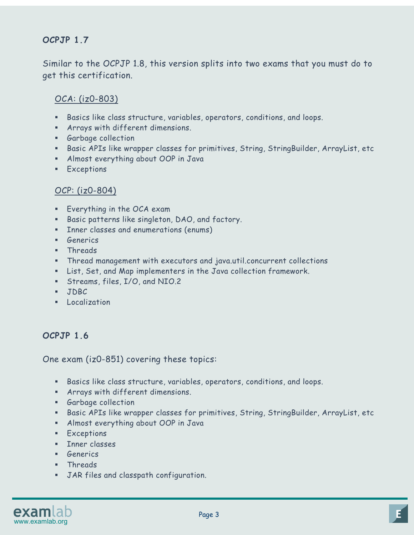## **OCPJP 1.7**

Similar to the OCPJP 1.8, this version splits into two exams that you must do to get this certification.

## OCA: (iz0-803)

- Basics like class structure, variables, operators, conditions, and loops.
- Arrays with different dimensions.
- **Garbage collection**
- Basic APIs like wrapper classes for primitives, String, StringBuilder, ArrayList, etc
- Almost everything about OOP in Java
- **Exceptions**

#### OCP: (iz0-804)

- **Everything in the OCA exam**
- Basic patterns like singleton, DAO, and factory.
- **EXT** Inner classes and enumerations (enums)
- Generics
- Threads
- Thread management with executors and java.util.concurrent collections
- List, Set, and Map implementers in the Java collection framework.
- Streams, files, I/O, and NIO.2
- JDBC
- **Localization**

### **OCPJP 1.6**

One exam (iz0-851) covering these topics:

- Basics like class structure, variables, operators, conditions, and loops.
- Arrays with different dimensions.
- **Garbage collection**
- Basic APIs like wrapper classes for primitives, String, StringBuilder, ArrayList, etc
- Almost everything about OOP in Java
- **Exceptions**
- **Inner classes**
- **Generics**
- Threads
- JAR files and classpath configuration.